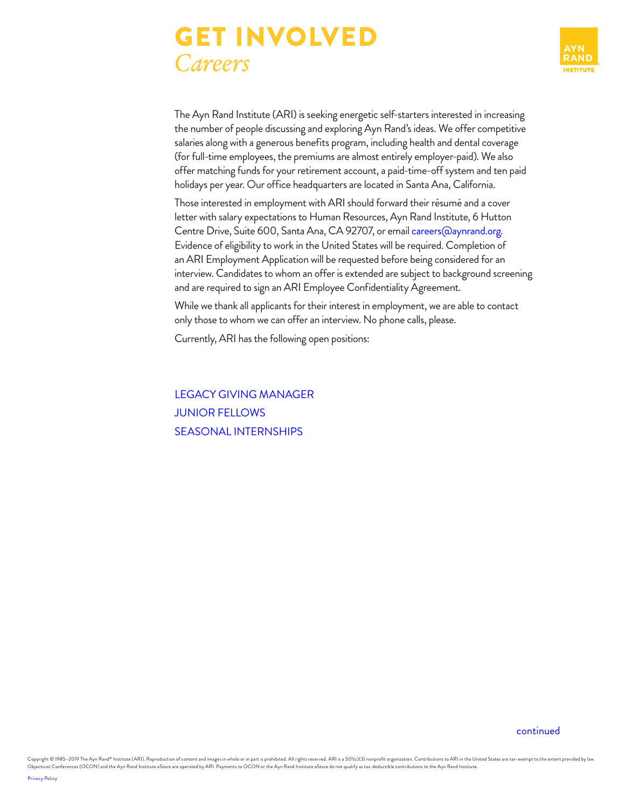



The Ayn Rand Institute (ARI) is seeking energetic self-starters interested in increasing the number of people discussing and exploring Ayn Rand's ideas. We offer competitive salaries along with a generous benefits program, including health and dental coverage (for full-time employees, the premiums are almost entirely employer-paid). We also offer matching funds for your retirement account, a paid-time-off system and ten paid holidays per year. Our office headquarters are located in Santa Ana, California.

Those interested in employment with ARI should forward their résumé and a cover letter with salary expectations to Human Resources, Ayn Rand Institute, 6 Hutton Centre Drive, Suite 600, Santa Ana, CA 92707, or email [careers@aynrand.org.](mailto:careers%40aynrand.org?subject=) Evidence of eligibility to work in the United States will be required. Completion of an ARI Employment Application will be requested before being considered for an interview. Candidates to whom an offer is extended are subject to background screening and are required to sign an ARI Employee Confidentiality Agreement.

While we thank all applicants for their interest in employment, we are able to contact only those to whom we can offer an interview. No phone calls, please.

Currently, ARI has the following open positions:

[LEGACY GIVING MANAGER](#page-1-0) JUNIOR FELLOWS [SEASONAL INTERNSHIPS](#page-3-0)

[continued](#page-1-1)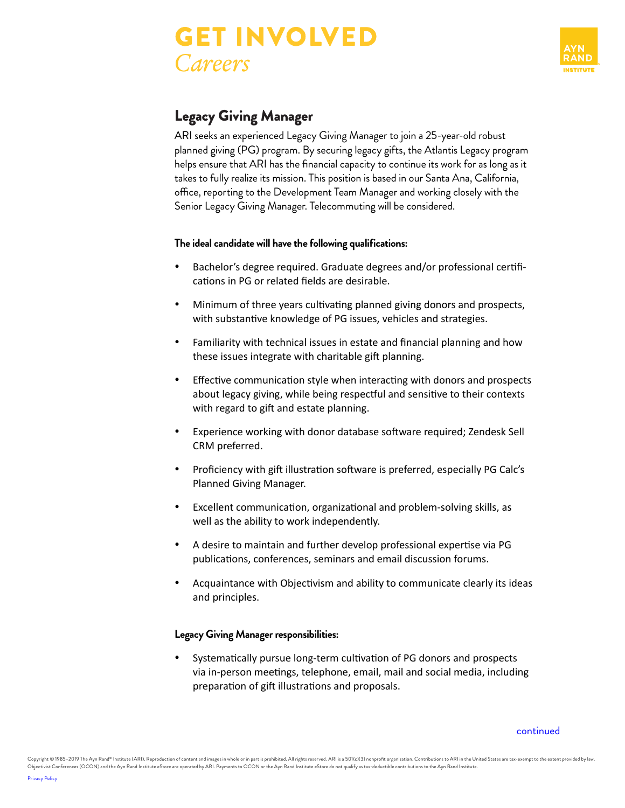# <span id="page-1-1"></span>GET INVOLVED *Careers*



# <span id="page-1-0"></span>Legacy Giving Manager

ARI seeks an experienced Legacy Giving Manager to join a 25-year-old robust planned giving (PG) program. By securing legacy gifts, the Atlantis Legacy program helps ensure that ARI has the financial capacity to continue its work for as long as it takes to fully realize its mission. This position is based in our Santa Ana, California, office, reporting to the Development Team Manager and working closely with the Senior Legacy Giving Manager. Telecommuting will be considered.

## **The ideal candidate will have the following qualifications:**

- Bachelor's degree required. Graduate degrees and/or professional certifications in PG or related fields are desirable.
- Minimum of three years cultivating planned giving donors and prospects, with substantive knowledge of PG issues, vehicles and strategies.
- Familiarity with technical issues in estate and financial planning and how these issues integrate with charitable gift planning.
- Effective communication style when interacting with donors and prospects about legacy giving, while being respectful and sensitive to their contexts with regard to gift and estate planning.
- Experience working with donor database software required; Zendesk Sell CRM preferred.
- Proficiency with gift illustration software is preferred, especially PG Calc's Planned Giving Manager.
- Excellent communication, organizational and problem-solving skills, as well as the ability to work independently.
- A desire to maintain and further develop professional expertise via PG publications, conferences, seminars and email discussion forums.
- Acquaintance with Objectivism and ability to communicate clearly its ideas and principles.

## **Legacy Giving Manager responsibilities:**

Systematically pursue long-term cultivation of PG donors and prospects via in-person meetings, telephone, email, mail and social media, including preparation of gift illustrations and proposals.

[continued](#page-2-0)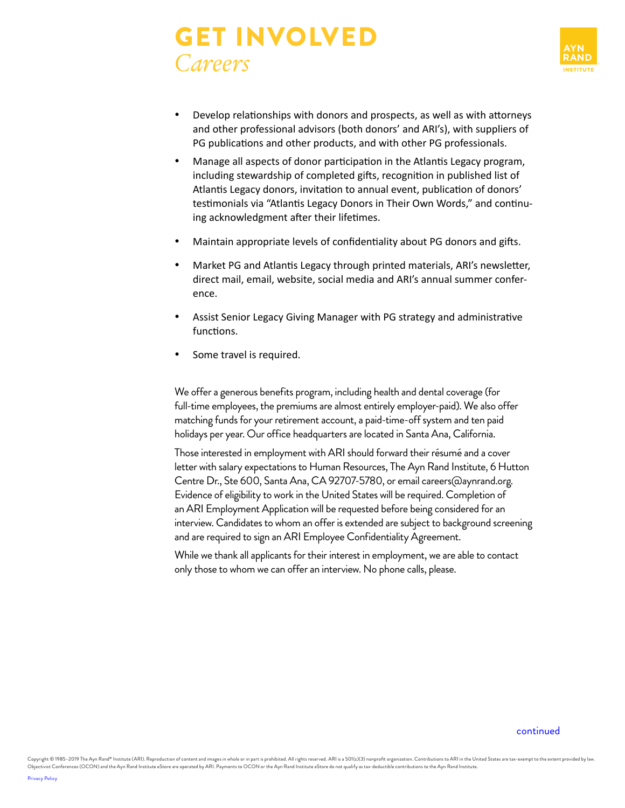# <span id="page-2-0"></span>GET INVOLVED *Careers*



- Develop relationships with donors and prospects, as well as with attorneys and other professional advisors (both donors' and ARI's), with suppliers of PG publications and other products, and with other PG professionals.
- Manage all aspects of donor participation in the Atlantis Legacy program, including stewardship of completed gifts, recognition in published list of Atlantis Legacy donors, invitation to annual event, publication of donors' testimonials via "Atlantis Legacy Donors in Their Own Words," and continuing acknowledgment after their lifetimes.
- Maintain appropriate levels of confidentiality about PG donors and gifts.
- Market PG and Atlantis Legacy through printed materials, ARI's newsletter, direct mail, email, website, social media and ARI's annual summer conference.
- Assist Senior Legacy Giving Manager with PG strategy and administrative functions.
- Some travel is required.

We offer a generous benefits program, including health and dental coverage (for full-time employees, the premiums are almost entirely employer-paid). We also offer matching funds for your retirement account, a paid-time-off system and ten paid holidays per year. Our office headquarters are located in Santa Ana, California.

Those interested in employment with ARI should forward their résumé and a cover letter with salary expectations to Human Resources, The Ayn Rand Institute, 6 Hutton Centre Dr., Ste 600, Santa Ana, CA 92707-5780, or email careers@aynrand.org. Evidence of eligibility to work in the United States will be required. Completion of an ARI Employment Application will be requested before being considered for an interview. Candidates to whom an offer is extended are subject to background screening and are required to sign an ARI Employee Confidentiality Agreement.

While we thank all applicants for their interest in employment, we are able to contact only those to whom we can offer an interview. No phone calls, please.

#### [continued](#page-3-1)